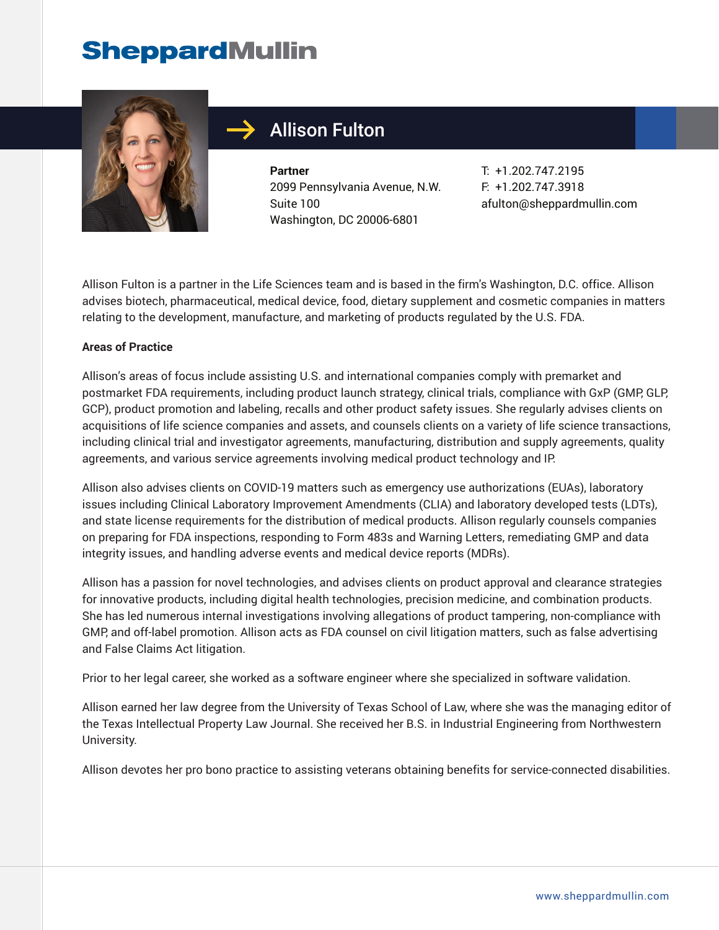

## Allison Fulton

**Partner** 2099 Pennsylvania Avenue, N.W. Suite 100 Washington, DC 20006-6801

T: +1.202.747.2195 F: +1.202.747.3918 afulton@sheppardmullin.com

Allison Fulton is a partner in the Life Sciences team and is based in the firm's Washington, D.C. office. Allison advises biotech, pharmaceutical, medical device, food, dietary supplement and cosmetic companies in matters relating to the development, manufacture, and marketing of products regulated by the U.S. FDA.

#### **Areas of Practice**

Allison's areas of focus include assisting U.S. and international companies comply with premarket and postmarket FDA requirements, including product launch strategy, clinical trials, compliance with GxP (GMP, GLP, GCP), product promotion and labeling, recalls and other product safety issues. She regularly advises clients on acquisitions of life science companies and assets, and counsels clients on a variety of life science transactions, including clinical trial and investigator agreements, manufacturing, distribution and supply agreements, quality agreements, and various service agreements involving medical product technology and IP.

Allison also advises clients on COVID-19 matters such as emergency use authorizations (EUAs), laboratory issues including Clinical Laboratory Improvement Amendments (CLIA) and laboratory developed tests (LDTs), and state license requirements for the distribution of medical products. Allison regularly counsels companies on preparing for FDA inspections, responding to Form 483s and Warning Letters, remediating GMP and data integrity issues, and handling adverse events and medical device reports (MDRs).

Allison has a passion for novel technologies, and advises clients on product approval and clearance strategies for innovative products, including digital health technologies, precision medicine, and combination products. She has led numerous internal investigations involving allegations of product tampering, non-compliance with GMP, and off-label promotion. Allison acts as FDA counsel on civil litigation matters, such as false advertising and False Claims Act litigation.

Prior to her legal career, she worked as a software engineer where she specialized in software validation.

Allison earned her law degree from the University of Texas School of Law, where she was the managing editor of the Texas Intellectual Property Law Journal. She received her B.S. in Industrial Engineering from Northwestern University.

Allison devotes her pro bono practice to assisting veterans obtaining benefits for service-connected disabilities.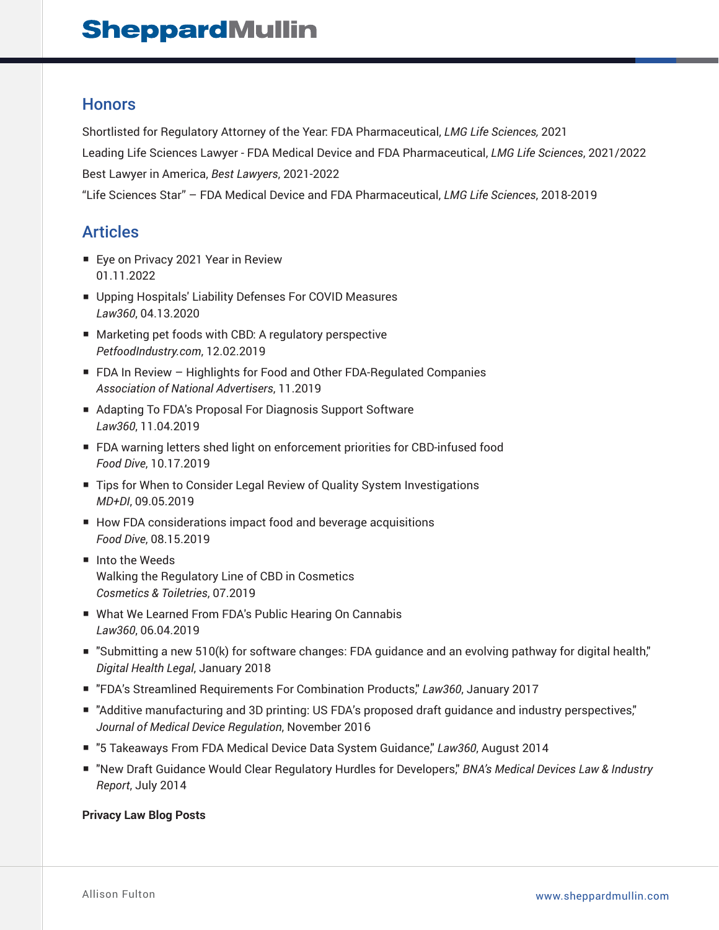### **Honors**

Shortlisted for Regulatory Attorney of the Year: FDA Pharmaceutical, *LMG Life Sciences,* 2021

Leading Life Sciences Lawyer - FDA Medical Device and FDA Pharmaceutical, *LMG Life Sciences*, 2021/2022 Best Lawyer in America, *Best Lawyers*, 2021-2022

"Life Sciences Star" – FDA Medical Device and FDA Pharmaceutical, *LMG Life Sciences*, 2018-2019

## Articles

- Eye on Privacy 2021 Year in Review 01.11.2022
- Upping Hospitals' Liability Defenses For COVID Measures *Law360*, 04.13.2020
- Marketing pet foods with CBD: A regulatory perspective *PetfoodIndustry.com*, 12.02.2019
- FDA In Review Highlights for Food and Other FDA-Regulated Companies *Association of National Advertisers*, 11.2019
- Adapting To FDA's Proposal For Diagnosis Support Software *Law360*, 11.04.2019
- FDA warning letters shed light on enforcement priorities for CBD-infused food *Food Dive*, 10.17.2019
- Tips for When to Consider Legal Review of Quality System Investigations *MD+DI*, 09.05.2019
- How FDA considerations impact food and beverage acquisitions *Food Dive*, 08.15.2019
- Into the Weeds Walking the Regulatory Line of CBD in Cosmetics *Cosmetics & Toiletries*, 07.2019
- What We Learned From FDA's Public Hearing On Cannabis *Law360*, 06.04.2019
- "Submitting a new 510(k) for software changes: FDA guidance and an evolving pathway for digital health," *Digital Health Legal*, January 2018
- "FDA's Streamlined Requirements For Combination Products," *Law360*, January 2017
- "Additive manufacturing and 3D printing: US FDA's proposed draft quidance and industry perspectives," *Journal of Medical Device Regulation*, November 2016
- "5 Takeaways From FDA Medical Device Data System Guidance," *Law360*, August 2014
- "New Draft Guidance Would Clear Regulatory Hurdles for Developers," *BNA's Medical Devices Law & Industry Report*, July 2014

#### **Privacy Law Blog Posts**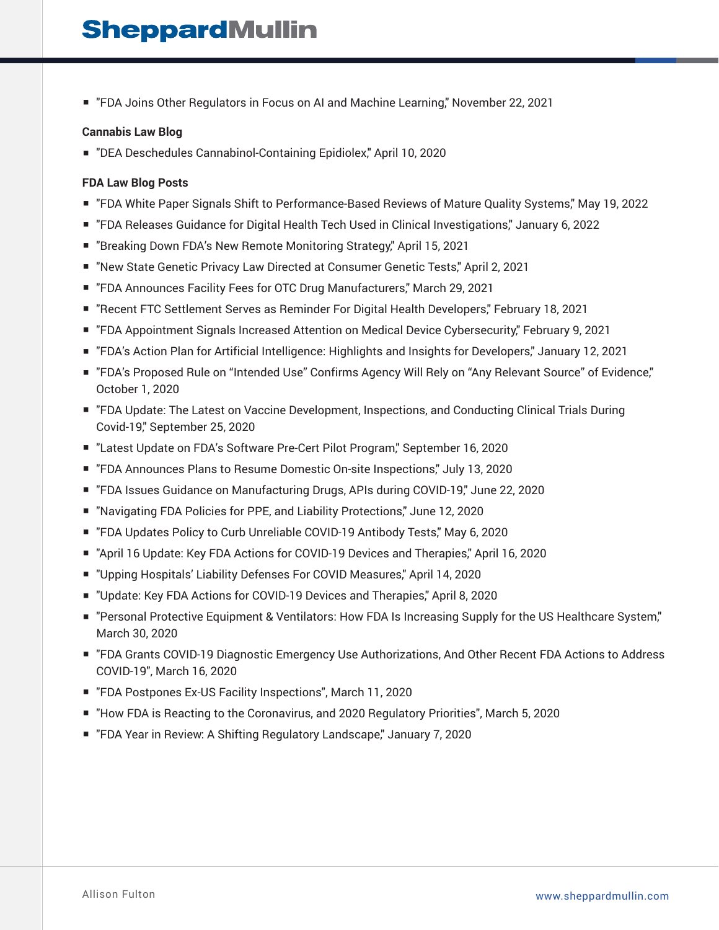■ "FDA Joins Other Regulators in Focus on AI and Machine Learning," November 22, 2021

#### **Cannabis Law Blog**

■ "DEA Deschedules Cannabinol-Containing Epidiolex," April 10, 2020

#### **FDA Law Blog Posts**

- "FDA White Paper Signals Shift to Performance-Based Reviews of Mature Quality Systems," May 19, 2022
- "FDA Releases Guidance for Digital Health Tech Used in Clinical Investigations," January 6, 2022
- "Breaking Down FDA's New Remote Monitoring Strategy," April 15, 2021
- "New State Genetic Privacy Law Directed at Consumer Genetic Tests," April 2, 2021
- "FDA Announces Facility Fees for OTC Drug Manufacturers," March 29, 2021
- "Recent FTC Settlement Serves as Reminder For Digital Health Developers," February 18, 2021
- "FDA Appointment Signals Increased Attention on Medical Device Cybersecurity" February 9, 2021
- "FDA's Action Plan for Artificial Intelligence: Highlights and Insights for Developers," January 12, 2021
- "FDA's Proposed Rule on "Intended Use" Confirms Agency Will Rely on "Any Relevant Source" of Evidence," October 1, 2020
- "FDA Update: The Latest on Vaccine Development, Inspections, and Conducting Clinical Trials During Covid-19," September 25, 2020
- "Latest Update on FDA's Software Pre-Cert Pilot Program," September 16, 2020
- "FDA Announces Plans to Resume Domestic On-site Inspections," July 13, 2020
- "FDA Issues Guidance on Manufacturing Drugs, APIs during COVID-19," June 22, 2020
- "Navigating FDA Policies for PPE, and Liability Protections," June 12, 2020
- "FDA Updates Policy to Curb Unreliable COVID-19 Antibody Tests," May 6, 2020
- "April 16 Update: Key FDA Actions for COVID-19 Devices and Therapies," April 16, 2020
- "Upping Hospitals' Liability Defenses For COVID Measures," April 14, 2020
- "Update: Key FDA Actions for COVID-19 Devices and Therapies," April 8, 2020
- "Personal Protective Equipment & Ventilators: How FDA Is Increasing Supply for the US Healthcare System," March 30, 2020
- "FDA Grants COVID-19 Diagnostic Emergency Use Authorizations, And Other Recent FDA Actions to Address COVID-19", March 16, 2020
- "FDA Postpones Ex-US Facility Inspections", March 11, 2020
- "How FDA is Reacting to the Coronavirus, and 2020 Regulatory Priorities", March 5, 2020
- "FDA Year in Review: A Shifting Regulatory Landscape," January 7, 2020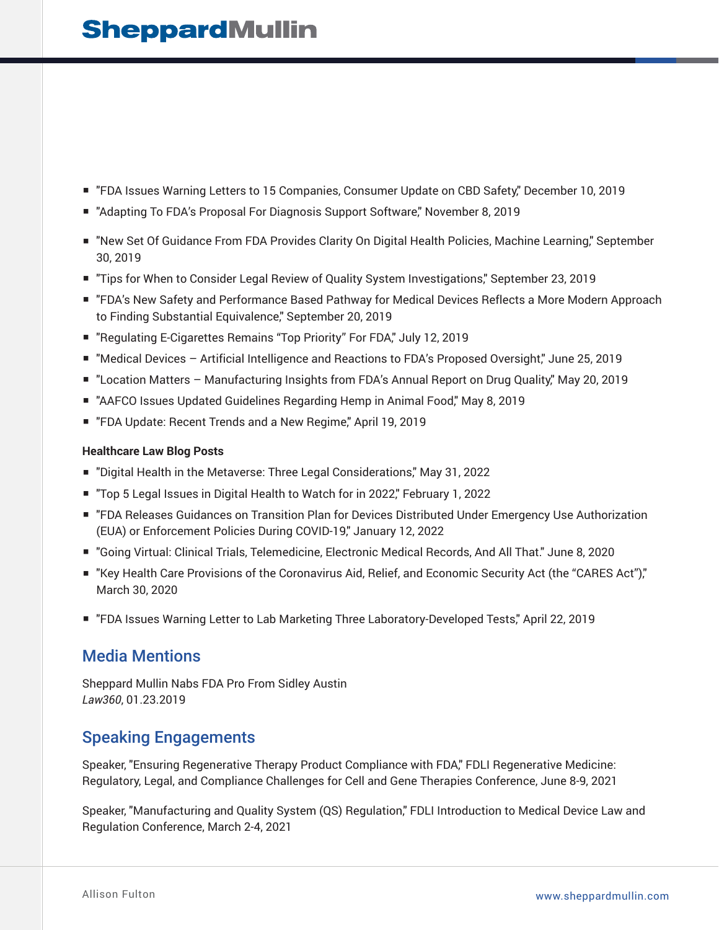- "FDA Issues Warning Letters to 15 Companies, Consumer Update on CBD Safety," December 10, 2019
- "Adapting To FDA's Proposal For Diagnosis Support Software," November 8, 2019
- "New Set Of Guidance From FDA Provides Clarity On Digital Health Policies, Machine Learning," September 30, 2019
- "Tips for When to Consider Legal Review of Quality System Investigations," September 23, 2019
- "FDA's New Safety and Performance Based Pathway for Medical Devices Reflects a More Modern Approach to Finding Substantial Equivalence," September 20, 2019
- "Regulating E-Cigarettes Remains "Top Priority" For FDA," July 12, 2019
- "Medical Devices Artificial Intelligence and Reactions to FDA's Proposed Oversight," June 25, 2019
- "Location Matters Manufacturing Insights from FDA's Annual Report on Drug Quality," May 20, 2019
- "AAFCO Issues Updated Guidelines Regarding Hemp in Animal Food," May 8, 2019
- "FDA Update: Recent Trends and a New Regime," April 19, 2019

#### **Healthcare Law Blog Posts**

- "Digital Health in the Metaverse: Three Legal Considerations," May 31, 2022
- "Top 5 Legal Issues in Digital Health to Watch for in 2022," February 1, 2022
- "FDA Releases Guidances on Transition Plan for Devices Distributed Under Emergency Use Authorization (EUA) or Enforcement Policies During COVID-19," January 12, 2022
- "Going Virtual: Clinical Trials, Telemedicine, Electronic Medical Records, And All That." June 8, 2020
- "Key Health Care Provisions of the Coronavirus Aid, Relief, and Economic Security Act (the "CARES Act")," March 30, 2020
- "FDA Issues Warning Letter to Lab Marketing Three Laboratory-Developed Tests," April 22, 2019

### Media Mentions

Sheppard Mullin Nabs FDA Pro From Sidley Austin *Law360*, 01.23.2019

### Speaking Engagements

Speaker, "Ensuring Regenerative Therapy Product Compliance with FDA," FDLI Regenerative Medicine: Regulatory, Legal, and Compliance Challenges for Cell and Gene Therapies Conference, June 8-9, 2021

Speaker, "Manufacturing and Quality System (QS) Regulation," FDLI Introduction to Medical Device Law and Regulation Conference, March 2-4, 2021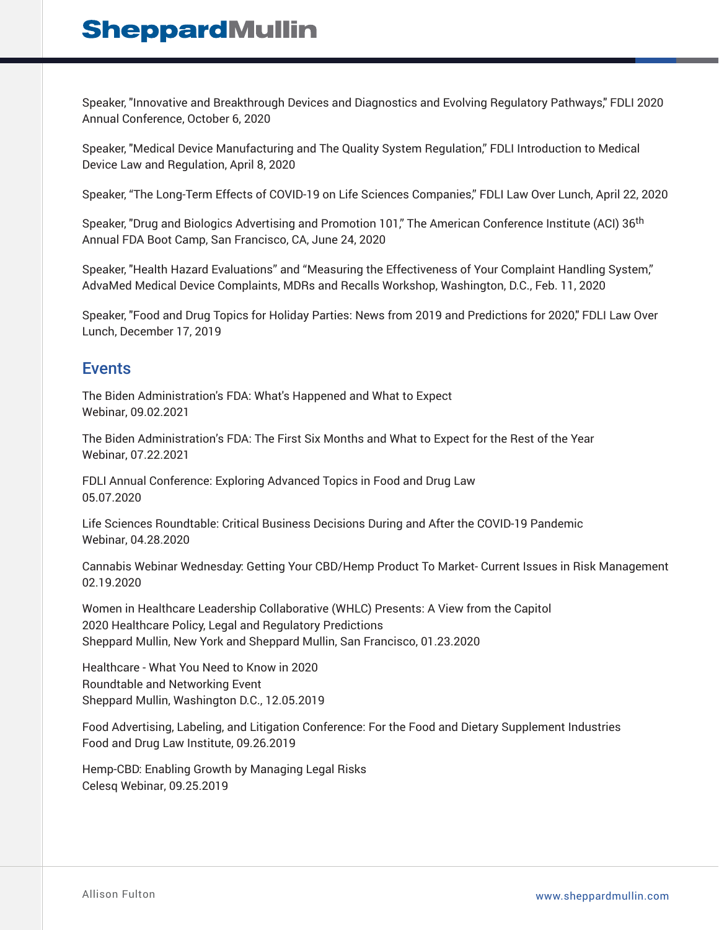Speaker, "Innovative and Breakthrough Devices and Diagnostics and Evolving Regulatory Pathways," FDLI 2020 Annual Conference, October 6, 2020

Speaker, "Medical Device Manufacturing and The Quality System Regulation," FDLI Introduction to Medical Device Law and Regulation, April 8, 2020

Speaker, "The Long-Term Effects of COVID-19 on Life Sciences Companies," FDLI Law Over Lunch, April 22, 2020

Speaker, "Drug and Biologics Advertising and Promotion 101," The American Conference Institute (ACI) 36<sup>th</sup> Annual FDA Boot Camp, San Francisco, CA, June 24, 2020

Speaker, "Health Hazard Evaluations" and "Measuring the Effectiveness of Your Complaint Handling System," AdvaMed Medical Device Complaints, MDRs and Recalls Workshop, Washington, D.C., Feb. 11, 2020

Speaker, "Food and Drug Topics for Holiday Parties: News from 2019 and Predictions for 2020," FDLI Law Over Lunch, December 17, 2019

### Events

The Biden Administration's FDA: What's Happened and What to Expect Webinar, 09.02.2021

The Biden Administration's FDA: The First Six Months and What to Expect for the Rest of the Year Webinar, 07.22.2021

FDLI Annual Conference: Exploring Advanced Topics in Food and Drug Law 05.07.2020

Life Sciences Roundtable: Critical Business Decisions During and After the COVID-19 Pandemic Webinar, 04.28.2020

Cannabis Webinar Wednesday: Getting Your CBD/Hemp Product To Market- Current Issues in Risk Management 02.19.2020

Women in Healthcare Leadership Collaborative (WHLC) Presents: A View from the Capitol 2020 Healthcare Policy, Legal and Regulatory Predictions Sheppard Mullin, New York and Sheppard Mullin, San Francisco, 01.23.2020

Healthcare - What You Need to Know in 2020 Roundtable and Networking Event Sheppard Mullin, Washington D.C., 12.05.2019

Food Advertising, Labeling, and Litigation Conference: For the Food and Dietary Supplement Industries Food and Drug Law Institute, 09.26.2019

Hemp-CBD: Enabling Growth by Managing Legal Risks Celesq Webinar, 09.25.2019